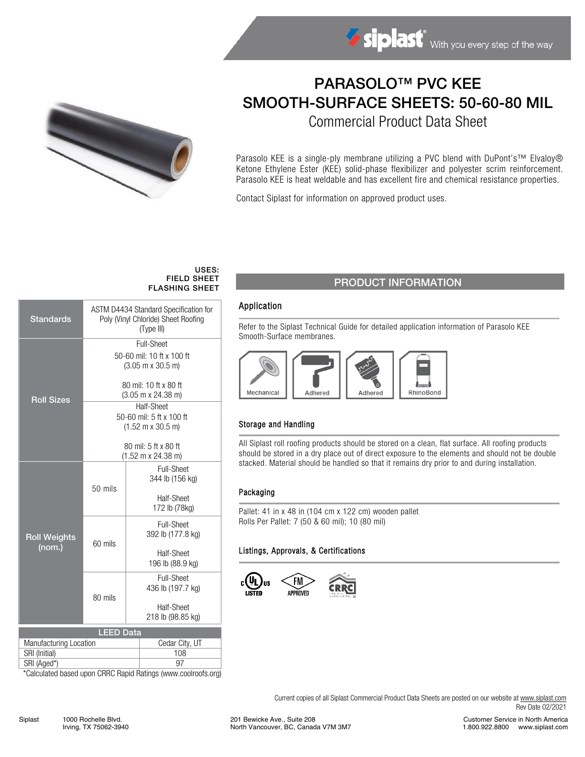



# PARASOLO™ PVC KEE SMOOTH-SURFACE SHEETS: 50-60-80 MIL

Commercial Product Data Sheet

Parasolo KEE is a single-ply membrane utilizing a PVC blend with DuPont's™ Elvaloy® Ketone Ethylene Ester (KEE) solid-phase flexibilizer and polyester scrim reinforcement. Parasolo KEE is heat weldable and has excellent fire and chemical resistance properties.

Contact Siplast for information on approved product uses.

#### USES: FIELD SHEET FLASHING SHEET

| <b>Standards</b>              | ASTM D4434 Standard Specification for<br>Poly (Vinyl Chloride) Sheet Roofing<br>(Type III) |                   |  |  |  |  |  |
|-------------------------------|--------------------------------------------------------------------------------------------|-------------------|--|--|--|--|--|
| <b>Roll Sizes</b>             | Full-Sheet                                                                                 |                   |  |  |  |  |  |
|                               | 50-60 mil: 10 ft x 100 ft<br>$(3.05 \text{ m} \times 30.5 \text{ m})$                      |                   |  |  |  |  |  |
|                               | 80 mil: 10 ft x 80 ft<br>$(3.05 \text{ m} \times 24.38 \text{ m})$                         |                   |  |  |  |  |  |
|                               | Half-Sheet                                                                                 |                   |  |  |  |  |  |
|                               | 50-60 mil: 5 ft x 100 ft                                                                   |                   |  |  |  |  |  |
|                               | $(1.52 \text{ m} \times 30.5 \text{ m})$                                                   |                   |  |  |  |  |  |
|                               | 80 mil: 5 ft x 80 ft                                                                       |                   |  |  |  |  |  |
|                               | (1.52 m x 24.38 m)                                                                         |                   |  |  |  |  |  |
| <b>Roll Weights</b><br>(nom.) |                                                                                            | <b>Full-Sheet</b> |  |  |  |  |  |
|                               |                                                                                            | 344 lb (156 kg)   |  |  |  |  |  |
|                               | 50 mils                                                                                    |                   |  |  |  |  |  |
|                               |                                                                                            | Half-Sheet        |  |  |  |  |  |
|                               |                                                                                            | 172 lb (78kg)     |  |  |  |  |  |
|                               |                                                                                            | <b>Full-Sheet</b> |  |  |  |  |  |
|                               | 60 mils                                                                                    | 392 lb (177.8 kg) |  |  |  |  |  |
|                               |                                                                                            | Half-Sheet        |  |  |  |  |  |
|                               |                                                                                            | 196 lb (88.9 kg)  |  |  |  |  |  |
|                               |                                                                                            | <b>Full-Sheet</b> |  |  |  |  |  |
|                               |                                                                                            | 436 lb (197.7 kg) |  |  |  |  |  |
|                               | 80 mils                                                                                    | Half-Sheet        |  |  |  |  |  |
|                               |                                                                                            | 218 lb (98.85 kg) |  |  |  |  |  |
| <b>LEED Data</b>              |                                                                                            |                   |  |  |  |  |  |
| Manufacturing Location        | Cedar City, UT                                                                             |                   |  |  |  |  |  |
| SRI (Initial)                 | 108                                                                                        |                   |  |  |  |  |  |
| SRI (Aged*)                   | 97                                                                                         |                   |  |  |  |  |  |

\*Calculated based upon CRRC Rapid Ratings (www.coolroofs.org)

# PRODUCT INFORMATION

### Application

Refer to the Siplast Technical Guide for detailed application information of Parasolo KEE Smooth-Surface membranes.



### Storage and Handling

All Siplast roll roofing products should be stored on a clean, flat surface. All roofing products should be stored in a dry place out of direct exposure to the elements and should not be double stacked. Material should be handled so that it remains dry prior to and during installation.

#### Packaging

Pallet: 41 in x 48 in (104 cm x 122 cm) wooden pallet Rolls Per Pallet: 7 (50 & 60 mil); 10 (80 mil)

#### Listings, Approvals, & Certifications



Current copies of all Siplast Commercial Product Data Sheets are posted on our website a[t www.siplast.com](http://www.siplast.com/) Rev Date 02/2021